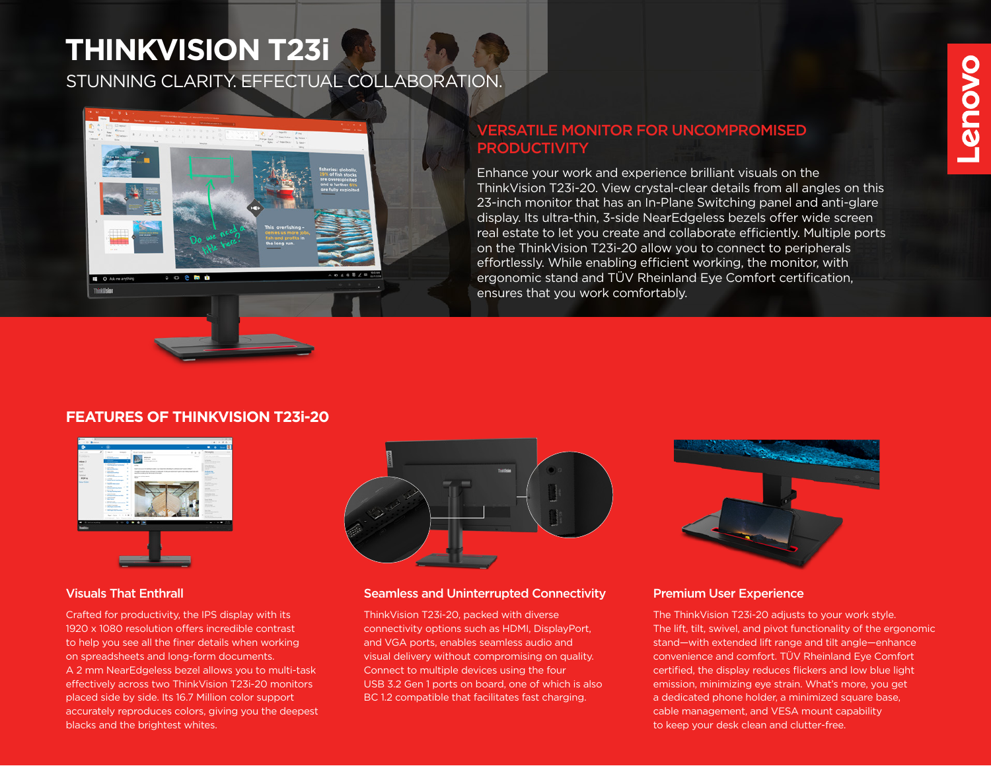## **THINKVISION T23i**

STUNNING CLARITY. EFFECTUAL COLLABORATION.

### VERSATILE MONITOR FOR UNCOMPROMISED **PRODUCTIVITY**

Enhance your work and experience brilliant visuals on the ThinkVision T23i-20. View crystal-clear details from all angles on this 23-inch monitor that has an In-Plane Switching panel and anti-glare display. Its ultra-thin, 3-side NearEdgeless bezels offer wide screen real estate to let you create and collaborate efficiently. Multiple ports on the ThinkVision T23i-20 allow you to connect to peripherals effortlessly. While enabling efficient working, the monitor, with ergonomic stand and TÜV Rheinland Eye Comfort certification, ensures that you work comfortably.

# **Provo**

#### **FEATURES OF THINKVISION T23i-20**



Crafted for productivity, the IPS display with its 1920 x 1080 resolution offers incredible contrast to help you see all the finer details when working on spreadsheets and long-form documents. A 2 mm NearEdgeless bezel allows you to multi-task effectively across two ThinkVision T23i-20 monitors placed side by side. Its 16.7 Million color support accurately reproduces colors, giving you the deepest blacks and the brightest whites.



#### Visuals That Enthrall Seamless and Uninterrupted Connectivity

ThinkVision T23i-20, packed with diverse connectivity options such as HDMI, DisplayPort, and VGA ports, enables seamless audio and visual delivery without compromising on quality. Connect to multiple devices using the four USB 3.2 Gen 1 ports on board, one of which is also BC 1.2 compatible that facilitates fast charging.



#### Premium User Experience

The ThinkVision T23i-20 adjusts to your work style. The lift, tilt, swivel, and pivot functionality of the ergonomic stand—with extended lift range and tilt angle—enhance convenience and comfort. TÜV Rheinland Eye Comfort certified, the display reduces flickers and low blue light emission, minimizing eye strain. What's more, you get a dedicated phone holder, a minimized square base, cable management, and VESA mount capability to keep your desk clean and clutter-free.